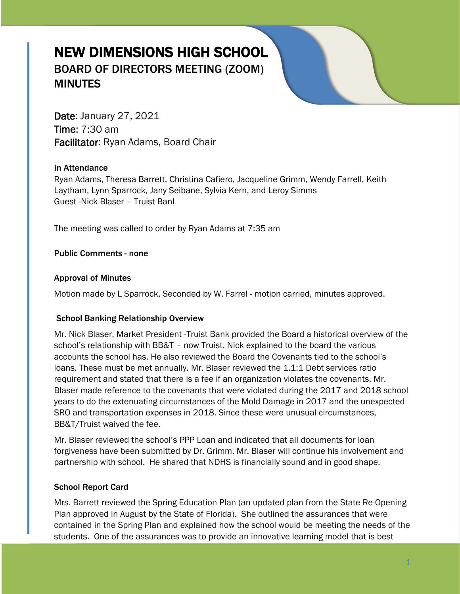# NEW DIMENSIONS HIGH SCHOOL BOARD OF DIRECTORS MEETING (ZOOM) **MINUTES**

Date: January 27, 2021 Time: 7:30 am Facilitator: Ryan Adams, Board Chair

#### In Attendance

Ryan Adams, Theresa Barrett, Christina Cafiero, Jacqueline Grimm, Wendy Farrell, Keith Laytham, Lynn Sparrock, Jany Seibane, Sylvia Kern, and Leroy Simms Guest -Nick Blaser – Truist Banl

The meeting was called to order by Ryan Adams at 7:35 am

Public Comments - none

#### Approval of Minutes

Motion made by L Sparrock, Seconded by W. Farrel - motion carried, minutes approved.

#### School Banking Relationship Overview

Mr. Nick Blaser, Market President -Truist Bank provided the Board a historical overview of the school's relationship with BB&T – now Truist. Nick explained to the board the various accounts the school has. He also reviewed the Board the Covenants tied to the school's loans. These must be met annually. Mr. Blaser reviewed the 1.1:1 Debt services ratio requirement and stated that there is a fee if an organization violates the covenants. Mr. Blaser made reference to the covenants that were violated during the 2017 and 2018 school years to do the extenuating circumstances of the Mold Damage in 2017 and the unexpected SRO and transportation expenses in 2018. Since these were unusual circumstances, BB&T/Truist waived the fee.

Mr. Blaser reviewed the school's PPP Loan and indicated that all documents for loan forgiveness have been submitted by Dr. Grimm. Mr. Blaser will continue his involvement and partnership with school. He shared that NDHS is financially sound and in good shape.

#### School Report Card

Mrs. Barrett reviewed the Spring Education Plan (an updated plan from the State Re-Opening Plan approved in August by the State of Florida). She outlined the assurances that were contained in the Spring Plan and explained how the school would be meeting the needs of the students. One of the assurances was to provide an innovative learning model that is best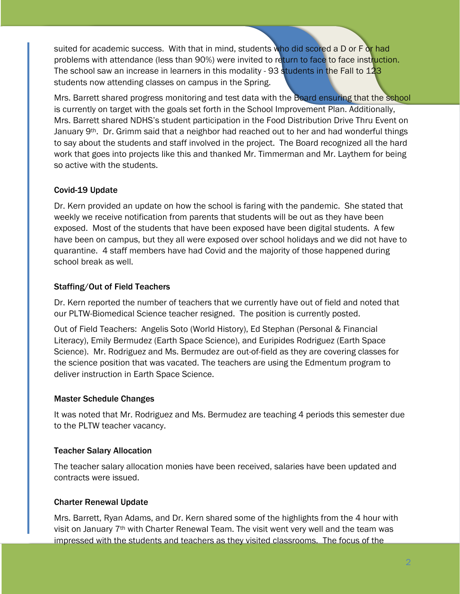suited for academic success. With that in mind, students who did scored a D or F or had problems with attendance (less than 90%) were invited to return to face to face instruction. The school saw an increase in learners in this modality - 93 students in the Fall to 123 students now attending classes on campus in the Spring.

Mrs. Barrett shared progress monitoring and test data with the Board ensuring that the school is currently on target with the goals set forth in the School Improvement Plan. Additionally, Mrs. Barrett shared NDHS's student participation in the Food Distribution Drive Thru Event on January 9<sup>th</sup>. Dr. Grimm said that a neighbor had reached out to her and had wonderful things to say about the students and staff involved in the project. The Board recognized all the hard work that goes into projects like this and thanked Mr. Timmerman and Mr. Laythem for being so active with the students.

# Covid-19 Update

Dr. Kern provided an update on how the school is faring with the pandemic. She stated that weekly we receive notification from parents that students will be out as they have been exposed. Most of the students that have been exposed have been digital students. A few have been on campus, but they all were exposed over school holidays and we did not have to quarantine. 4 staff members have had Covid and the majority of those happened during school break as well.

# Staffing/Out of Field Teachers

Dr. Kern reported the number of teachers that we currently have out of field and noted that our PLTW-Biomedical Science teacher resigned. The position is currently posted.

Out of Field Teachers: Angelis Soto (World History), Ed Stephan (Personal & Financial Literacy), Emily Bermudez (Earth Space Science), and Euripides Rodriguez (Earth Space Science). Mr. Rodriguez and Ms. Bermudez are out-of-field as they are covering classes for the science position that was vacated. The teachers are using the Edmentum program to deliver instruction in Earth Space Science.

### Master Schedule Changes

It was noted that Mr. Rodriguez and Ms. Bermudez are teaching 4 periods this semester due to the PLTW teacher vacancy.

# Teacher Salary Allocation

The teacher salary allocation monies have been received, salaries have been updated and contracts were issued.

# Charter Renewal Update

Mrs. Barrett, Ryan Adams, and Dr. Kern shared some of the highlights from the 4 hour with visit on January  $7<sup>th</sup>$  with Charter Renewal Team. The visit went very well and the team was impressed with the students and teachers as they visited classrooms. The focus of the